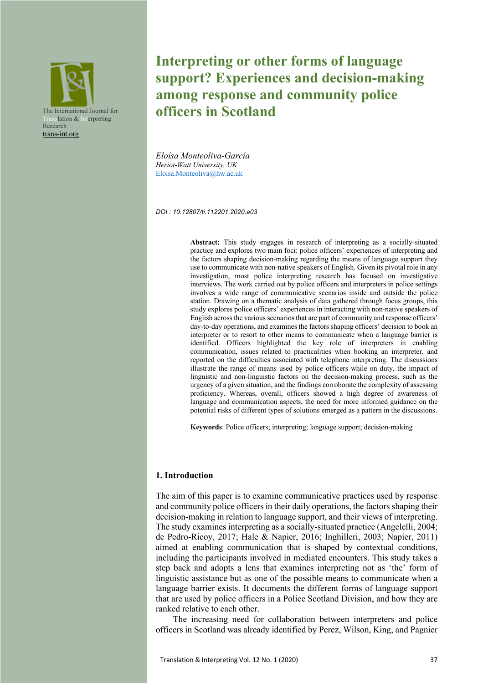

# **Interpreting or other forms of language support? Experiences and decision-making among response and community police officers in Scotland**

*Eloísa Monteoliva-García Heriot-Watt University, UK* Eloisa.Monteoliva@hw.ac.uk

*DOI : 10.12807/ti.112201.2020.a03*

**Abstract:** This study engages in research of interpreting as a socially-situated practice and explores two main foci: police officers' experiences of interpreting and the factors shaping decision-making regarding the means of language support they use to communicate with non-native speakers of English. Given its pivotal role in any investigation, most police interpreting research has focused on investigative interviews. The work carried out by police officers and interpreters in police settings involves a wide range of communicative scenarios inside and outside the police station. Drawing on a thematic analysis of data gathered through focus groups, this study explores police officers' experiences in interacting with non-native speakers of English across the various scenarios that are part of community and response officers' day-to-day operations, and examines the factors shaping officers' decision to book an interpreter or to resort to other means to communicate when a language barrier is identified. Officers highlighted the key role of interpreters in enabling communication, issues related to practicalities when booking an interpreter, and reported on the difficulties associated with telephone interpreting. The discussions illustrate the range of means used by police officers while on duty, the impact of linguistic and non-linguistic factors on the decision-making process, such as the urgency of a given situation, and the findings corroborate the complexity of assessing proficiency. Whereas, overall, officers showed a high degree of awareness of language and communication aspects, the need for more informed guidance on the potential risks of different types of solutions emerged as a pattern in the discussions.

**Keywords**: Police officers; interpreting; language support; decision-making

#### **1. Introduction**

The aim of this paper is to examine communicative practices used by response and community police officers in their daily operations, the factors shaping their decision-making in relation to language support, and their views of interpreting. The study examines interpreting as a socially-situated practice (Angelelli, 2004; de Pedro-Ricoy, 2017; Hale & Napier, 2016; Inghilleri, 2003; Napier, 2011) aimed at enabling communication that is shaped by contextual conditions, including the participants involved in mediated encounters. This study takes a step back and adopts a lens that examines interpreting not as 'the' form of linguistic assistance but as one of the possible means to communicate when a language barrier exists. It documents the different forms of language support that are used by police officers in a Police Scotland Division, and how they are ranked relative to each other.

The increasing need for collaboration between interpreters and police officers in Scotland was already identified by Perez, Wilson, King, and Pagnier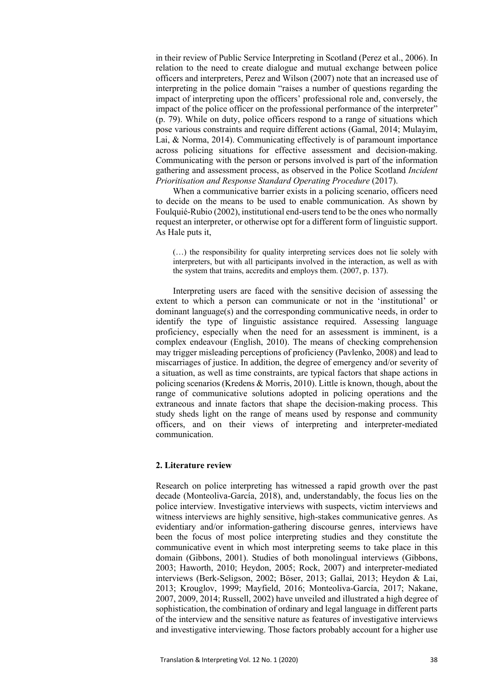in their review of Public Service Interpreting in Scotland (Perez et al., 2006). In relation to the need to create dialogue and mutual exchange between police officers and interpreters, Perez and Wilson (2007) note that an increased use of interpreting in the police domain "raises a number of questions regarding the impact of interpreting upon the officers' professional role and, conversely, the impact of the police officer on the professional performance of the interpreter" (p. 79). While on duty, police officers respond to a range of situations which pose various constraints and require different actions (Gamal, 2014; Mulayim, Lai, & Norma, 2014). Communicating effectively is of paramount importance across policing situations for effective assessment and decision-making. Communicating with the person or persons involved is part of the information gathering and assessment process, as observed in the Police Scotland *Incident Prioritisation and Response Standard Operating Procedure* (2017).

When a communicative barrier exists in a policing scenario, officers need to decide on the means to be used to enable communication. As shown by Foulquié-Rubio (2002), institutional end-users tend to be the ones who normally request an interpreter, or otherwise opt for a different form of linguistic support. As Hale puts it,

(…) the responsibility for quality interpreting services does not lie solely with interpreters, but with all participants involved in the interaction, as well as with the system that trains, accredits and employs them. (2007, p. 137).

Interpreting users are faced with the sensitive decision of assessing the extent to which a person can communicate or not in the 'institutional' or dominant language(s) and the corresponding communicative needs, in order to identify the type of linguistic assistance required. Assessing language proficiency, especially when the need for an assessment is imminent, is a complex endeavour (English, 2010). The means of checking comprehension may trigger misleading perceptions of proficiency (Pavlenko, 2008) and lead to miscarriages of justice. In addition, the degree of emergency and/or severity of a situation, as well as time constraints, are typical factors that shape actions in policing scenarios (Kredens & Morris, 2010). Little is known, though, about the range of communicative solutions adopted in policing operations and the extraneous and innate factors that shape the decision-making process. This study sheds light on the range of means used by response and community officers, and on their views of interpreting and interpreter-mediated communication.

## **2. Literature review**

Research on police interpreting has witnessed a rapid growth over the past decade (Monteoliva-García, 2018), and, understandably, the focus lies on the police interview. Investigative interviews with suspects, victim interviews and witness interviews are highly sensitive, high-stakes communicative genres. As evidentiary and/or information-gathering discourse genres, interviews have been the focus of most police interpreting studies and they constitute the communicative event in which most interpreting seems to take place in this domain (Gibbons, 2001). Studies of both monolingual interviews (Gibbons, 2003; Haworth, 2010; Heydon, 2005; Rock, 2007) and interpreter-mediated interviews (Berk-Seligson, 2002; Böser, 2013; Gallai, 2013; Heydon & Lai, 2013; Krouglov, 1999; Mayfield, 2016; Monteoliva-García, 2017; Nakane, 2007, 2009, 2014; Russell, 2002) have unveiled and illustrated a high degree of sophistication, the combination of ordinary and legal language in different parts of the interview and the sensitive nature as features of investigative interviews and investigative interviewing. Those factors probably account for a higher use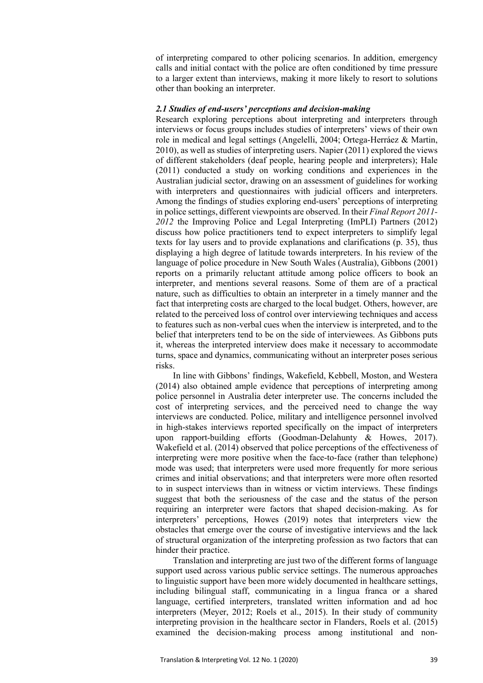of interpreting compared to other policing scenarios. In addition, emergency calls and initial contact with the police are often conditioned by time pressure to a larger extent than interviews, making it more likely to resort to solutions other than booking an interpreter.

#### *2.1 Studies of end-users' perceptions and decision-making*

Research exploring perceptions about interpreting and interpreters through interviews or focus groups includes studies of interpreters' views of their own role in medical and legal settings (Angelelli, 2004; Ortega-Herráez & Martin, 2010), as well as studies of interpreting users. Napier (2011) explored the views of different stakeholders (deaf people, hearing people and interpreters); Hale (2011) conducted a study on working conditions and experiences in the Australian judicial sector, drawing on an assessment of guidelines for working with interpreters and questionnaires with judicial officers and interpreters. Among the findings of studies exploring end-users' perceptions of interpreting in police settings, different viewpoints are observed. In their *Final Report 2011- 2012* the Improving Police and Legal Interpreting (ImPLI) Partners (2012) discuss how police practitioners tend to expect interpreters to simplify legal texts for lay users and to provide explanations and clarifications (p. 35), thus displaying a high degree of latitude towards interpreters. In his review of the language of police procedure in New South Wales (Australia), Gibbons (2001) reports on a primarily reluctant attitude among police officers to book an interpreter, and mentions several reasons. Some of them are of a practical nature, such as difficulties to obtain an interpreter in a timely manner and the fact that interpreting costs are charged to the local budget. Others, however, are related to the perceived loss of control over interviewing techniques and access to features such as non-verbal cues when the interview is interpreted, and to the belief that interpreters tend to be on the side of interviewees. As Gibbons puts it, whereas the interpreted interview does make it necessary to accommodate turns, space and dynamics, communicating without an interpreter poses serious risks.

In line with Gibbons' findings, Wakefield, Kebbell, Moston, and Westera (2014) also obtained ample evidence that perceptions of interpreting among police personnel in Australia deter interpreter use. The concerns included the cost of interpreting services, and the perceived need to change the way interviews are conducted. Police, military and intelligence personnel involved in high-stakes interviews reported specifically on the impact of interpreters upon rapport-building efforts (Goodman-Delahunty & Howes, 2017). Wakefield et al. (2014) observed that police perceptions of the effectiveness of interpreting were more positive when the face-to-face (rather than telephone) mode was used; that interpreters were used more frequently for more serious crimes and initial observations; and that interpreters were more often resorted to in suspect interviews than in witness or victim interviews. These findings suggest that both the seriousness of the case and the status of the person requiring an interpreter were factors that shaped decision-making. As for interpreters' perceptions, Howes (2019) notes that interpreters view the obstacles that emerge over the course of investigative interviews and the lack of structural organization of the interpreting profession as two factors that can hinder their practice.

Translation and interpreting are just two of the different forms of language support used across various public service settings. The numerous approaches to linguistic support have been more widely documented in healthcare settings, including bilingual staff, communicating in a lingua franca or a shared language, certified interpreters, translated written information and ad hoc interpreters (Meyer, 2012; Roels et al., 2015). In their study of community interpreting provision in the healthcare sector in Flanders, Roels et al. (2015) examined the decision-making process among institutional and non-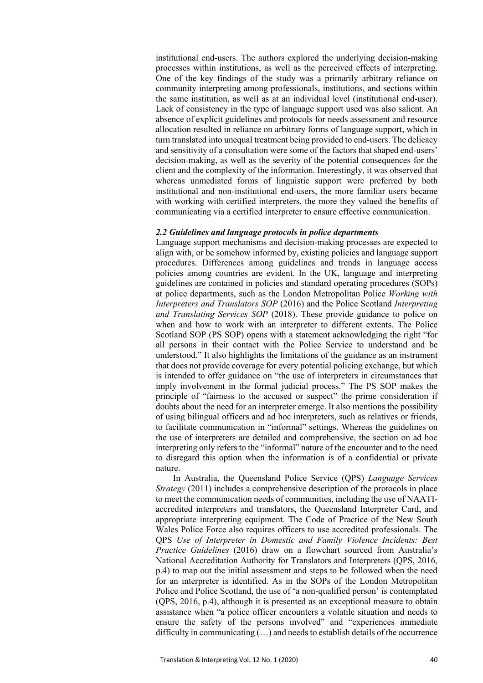institutional end-users. The authors explored the underlying decision-making processes within institutions, as well as the perceived effects of interpreting. One of the key findings of the study was a primarily arbitrary reliance on community interpreting among professionals, institutions, and sections within the same institution, as well as at an individual level (institutional end-user). Lack of consistency in the type of language support used was also salient. An absence of explicit guidelines and protocols for needs assessment and resource allocation resulted in reliance on arbitrary forms of language support, which in turn translated into unequal treatment being provided to end-users. The delicacy and sensitivity of a consultation were some of the factors that shaped end-users' decision-making, as well as the severity of the potential consequences for the client and the complexity of the information. Interestingly, it was observed that whereas unmediated forms of linguistic support were preferred by both institutional and non-institutional end-users, the more familiar users became with working with certified interpreters, the more they valued the benefits of communicating via a certified interpreter to ensure effective communication.

## *2.2 Guidelines and language protocols in police departments*

Language support mechanisms and decision-making processes are expected to align with, or be somehow informed by, existing policies and language support procedures. Differences among guidelines and trends in language access policies among countries are evident. In the UK, language and interpreting guidelines are contained in policies and standard operating procedures (SOPs) at police departments, such as the London Metropolitan Police *Working with Interpreters and Translators SOP* (2016) and the Police Scotland *Interpreting and Translating Services SOP* (2018). These provide guidance to police on when and how to work with an interpreter to different extents. The Police Scotland SOP (PS SOP) opens with a statement acknowledging the right "for all persons in their contact with the Police Service to understand and be understood." It also highlights the limitations of the guidance as an instrument that does not provide coverage for every potential policing exchange, but which is intended to offer guidance on "the use of interpreters in circumstances that imply involvement in the formal judicial process." The PS SOP makes the principle of "fairness to the accused or suspect" the prime consideration if doubts about the need for an interpreter emerge. It also mentions the possibility of using bilingual officers and ad hoc interpreters, such as relatives or friends, to facilitate communication in "informal" settings. Whereas the guidelines on the use of interpreters are detailed and comprehensive, the section on ad hoc interpreting only refers to the "informal" nature of the encounter and to the need to disregard this option when the information is of a confidential or private nature.

In Australia, the Queensland Police Service (QPS) *Language Services Strategy* (2011) includes a comprehensive description of the protocols in place to meet the communication needs of communities, including the use of NAATIaccredited interpreters and translators, the Queensland Interpreter Card, and appropriate interpreting equipment. The Code of Practice of the New South Wales Police Force also requires officers to use accredited professionals. The QPS *Use of Interpreter in Domestic and Family Violence Incidents: Best Practice Guidelines* (2016) draw on a flowchart sourced from Australia's National Accreditation Authority for Translators and Interpreters (QPS, 2016, p.4) to map out the initial assessment and steps to be followed when the need for an interpreter is identified. As in the SOPs of the London Metropolitan Police and Police Scotland, the use of 'a non-qualified person' is contemplated (QPS, 2016, p.4), although it is presented as an exceptional measure to obtain assistance when "a police officer encounters a volatile situation and needs to ensure the safety of the persons involved" and "experiences immediate difficulty in communicating (…) and needs to establish details of the occurrence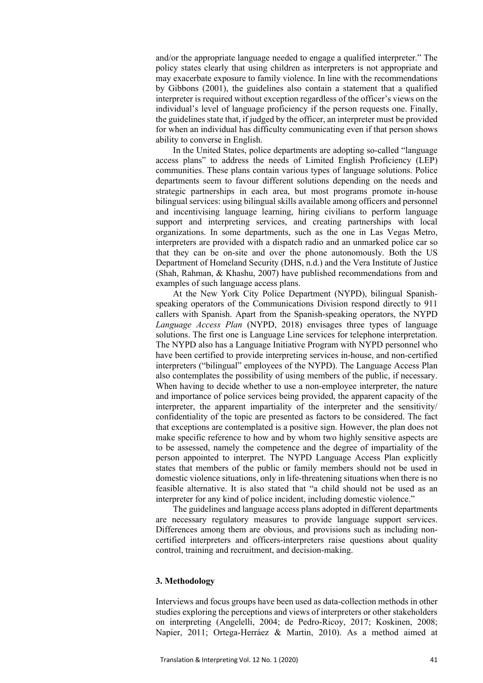and/or the appropriate language needed to engage a qualified interpreter." The policy states clearly that using children as interpreters is not appropriate and may exacerbate exposure to family violence. In line with the recommendations by Gibbons (2001), the guidelines also contain a statement that a qualified interpreter is required without exception regardless of the officer's views on the individual's level of language proficiency if the person requests one. Finally, the guidelines state that, if judged by the officer, an interpreter must be provided for when an individual has difficulty communicating even if that person shows ability to converse in English.

In the United States, police departments are adopting so-called "language access plans" to address the needs of Limited English Proficiency (LEP) communities. These plans contain various types of language solutions. Police departments seem to favour different solutions depending on the needs and strategic partnerships in each area, but most programs promote in-house bilingual services: using bilingual skills available among officers and personnel and incentivising language learning, hiring civilians to perform language support and interpreting services, and creating partnerships with local organizations. In some departments, such as the one in Las Vegas Metro, interpreters are provided with a dispatch radio and an unmarked police car so that they can be on-site and over the phone autonomously. Both the US Department of Homeland Security (DHS, n.d.) and the Vera Institute of Justice (Shah, Rahman, & Khashu, 2007) have published recommendations from and examples of such language access plans.

At the New York City Police Department (NYPD), bilingual Spanishspeaking operators of the Communications Division respond directly to 911 callers with Spanish. Apart from the Spanish-speaking operators, the NYPD *Language Access Plan* (NYPD, 2018) envisages three types of language solutions. The first one is Language Line services for telephone interpretation. The NYPD also has a Language Initiative Program with NYPD personnel who have been certified to provide interpreting services in-house, and non-certified interpreters ("bilingual" employees of the NYPD). The Language Access Plan also contemplates the possibility of using members of the public, if necessary. When having to decide whether to use a non-employee interpreter, the nature and importance of police services being provided, the apparent capacity of the interpreter, the apparent impartiality of the interpreter and the sensitivity/ confidentiality of the topic are presented as factors to be considered. The fact that exceptions are contemplated is a positive sign. However, the plan does not make specific reference to how and by whom two highly sensitive aspects are to be assessed, namely the competence and the degree of impartiality of the person appointed to interpret. The NYPD Language Access Plan explicitly states that members of the public or family members should not be used in domestic violence situations, only in life-threatening situations when there is no feasible alternative. It is also stated that "a child should not be used as an interpreter for any kind of police incident, including domestic violence."

The guidelines and language access plans adopted in different departments are necessary regulatory measures to provide language support services. Differences among them are obvious, and provisions such as including noncertified interpreters and officers-interpreters raise questions about quality control, training and recruitment, and decision-making.

# **3. Methodology**

Interviews and focus groups have been used as data-collection methods in other studies exploring the perceptions and views of interpreters or other stakeholders on interpreting (Angelelli, 2004; de Pedro-Ricoy, 2017; Koskinen, 2008; Napier, 2011; Ortega-Herráez & Martin, 2010). As a method aimed at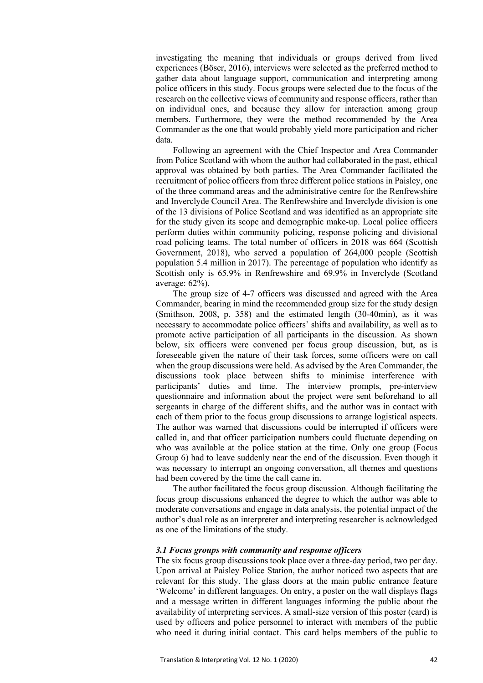investigating the meaning that individuals or groups derived from lived experiences (Böser, 2016), interviews were selected as the preferred method to gather data about language support, communication and interpreting among police officers in this study. Focus groups were selected due to the focus of the research on the collective views of community and response officers, rather than on individual ones, and because they allow for interaction among group members. Furthermore, they were the method recommended by the Area Commander as the one that would probably yield more participation and richer data.

Following an agreement with the Chief Inspector and Area Commander from Police Scotland with whom the author had collaborated in the past, ethical approval was obtained by both parties. The Area Commander facilitated the recruitment of police officers from three different police stations in Paisley, one of the three command areas and the administrative centre for the Renfrewshire and Inverclyde Council Area. The Renfrewshire and Inverclyde division is one of the 13 divisions of Police Scotland and was identified as an appropriate site for the study given its scope and demographic make-up. Local police officers perform duties within community policing, response policing and divisional road policing teams. The total number of officers in 2018 was 664 (Scottish Government, 2018), who served a population of 264,000 people (Scottish population 5.4 million in 2017). The percentage of population who identify as Scottish only is 65.9% in Renfrewshire and 69.9% in Inverclyde (Scotland average: 62%).

The group size of 4-7 officers was discussed and agreed with the Area Commander, bearing in mind the recommended group size for the study design (Smithson, 2008, p. 358) and the estimated length (30-40min), as it was necessary to accommodate police officers' shifts and availability, as well as to promote active participation of all participants in the discussion. As shown below, six officers were convened per focus group discussion, but, as is foreseeable given the nature of their task forces, some officers were on call when the group discussions were held. As advised by the Area Commander, the discussions took place between shifts to minimise interference with participants' duties and time. The interview prompts, pre-interview questionnaire and information about the project were sent beforehand to all sergeants in charge of the different shifts, and the author was in contact with each of them prior to the focus group discussions to arrange logistical aspects. The author was warned that discussions could be interrupted if officers were called in, and that officer participation numbers could fluctuate depending on who was available at the police station at the time. Only one group (Focus Group 6) had to leave suddenly near the end of the discussion. Even though it was necessary to interrupt an ongoing conversation, all themes and questions had been covered by the time the call came in.

The author facilitated the focus group discussion. Although facilitating the focus group discussions enhanced the degree to which the author was able to moderate conversations and engage in data analysis, the potential impact of the author's dual role as an interpreter and interpreting researcher is acknowledged as one of the limitations of the study.

#### *3.1 Focus groups with community and response officers*

The six focus group discussions took place over a three-day period, two per day. Upon arrival at Paisley Police Station, the author noticed two aspects that are relevant for this study. The glass doors at the main public entrance feature 'Welcome' in different languages. On entry, a poster on the wall displays flags and a message written in different languages informing the public about the availability of interpreting services. A small-size version of this poster (card) is used by officers and police personnel to interact with members of the public who need it during initial contact. This card helps members of the public to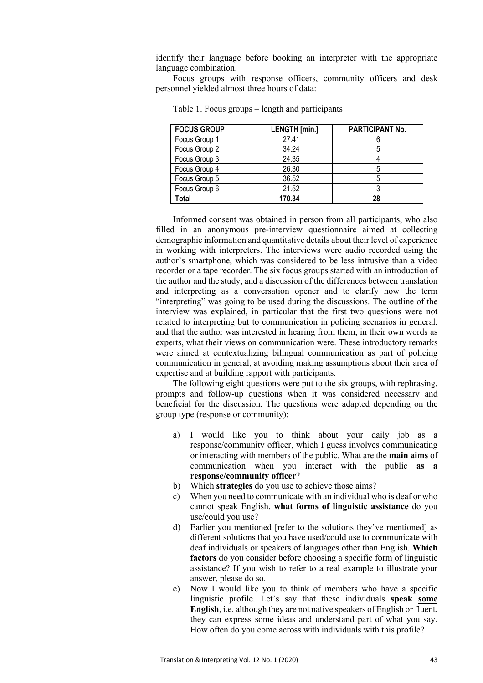identify their language before booking an interpreter with the appropriate language combination.

Focus groups with response officers, community officers and desk personnel yielded almost three hours of data:

| <b>FOCUS GROUP</b> | <b>LENGTH</b> [min.] | <b>PARTICIPANT No.</b> |  |
|--------------------|----------------------|------------------------|--|
| Focus Group 1      | 27.41                |                        |  |
| Focus Group 2      | 34.24                | C                      |  |
| Focus Group 3      | 24.35                |                        |  |
| Focus Group 4      | 26.30                |                        |  |
| Focus Group 5      | 36.52                |                        |  |
| Focus Group 6      | 21.52                |                        |  |
| Total              | 170.34               | 28                     |  |

Table 1. Focus groups – length and participants

Informed consent was obtained in person from all participants, who also filled in an anonymous pre-interview questionnaire aimed at collecting demographic information and quantitative details about their level of experience in working with interpreters. The interviews were audio recorded using the author's smartphone, which was considered to be less intrusive than a video recorder or a tape recorder. The six focus groups started with an introduction of the author and the study, and a discussion of the differences between translation and interpreting as a conversation opener and to clarify how the term "interpreting" was going to be used during the discussions. The outline of the interview was explained, in particular that the first two questions were not related to interpreting but to communication in policing scenarios in general, and that the author was interested in hearing from them, in their own words as experts, what their views on communication were. These introductory remarks were aimed at contextualizing bilingual communication as part of policing communication in general, at avoiding making assumptions about their area of expertise and at building rapport with participants.

The following eight questions were put to the six groups, with rephrasing, prompts and follow-up questions when it was considered necessary and beneficial for the discussion. The questions were adapted depending on the group type (response or community):

- a) I would like you to think about your daily job as a response/community officer, which I guess involves communicating or interacting with members of the public. What are the **main aims** of communication when you interact with the public **as a response/community officer**?
- b) Which **strategies** do you use to achieve those aims?
- c) When you need to communicate with an individual who is deaf or who cannot speak English, **what forms of linguistic assistance** do you use/could you use?
- d) Earlier you mentioned [refer to the solutions they've mentioned] as different solutions that you have used/could use to communicate with deaf individuals or speakers of languages other than English. **Which factors** do you consider before choosing a specific form of linguistic assistance? If you wish to refer to a real example to illustrate your answer, please do so.
- e) Now I would like you to think of members who have a specific linguistic profile. Let's say that these individuals **speak some English**, i.e. although they are not native speakers of English or fluent, they can express some ideas and understand part of what you say. How often do you come across with individuals with this profile?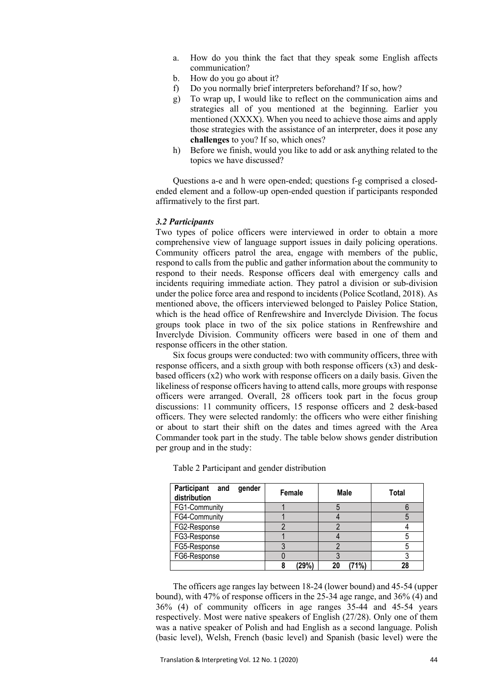- a. How do you think the fact that they speak some English affects communication?
- b. How do you go about it?
- f) Do you normally brief interpreters beforehand? If so, how?
- g) To wrap up, I would like to reflect on the communication aims and strategies all of you mentioned at the beginning. Earlier you mentioned (XXXX). When you need to achieve those aims and apply those strategies with the assistance of an interpreter, does it pose any **challenges** to you? If so, which ones?
- h) Before we finish, would you like to add or ask anything related to the topics we have discussed?

Questions a-e and h were open-ended; questions f-g comprised a closedended element and a follow-up open-ended question if participants responded affirmatively to the first part.

## *3.2 Participants*

Two types of police officers were interviewed in order to obtain a more comprehensive view of language support issues in daily policing operations. Community officers patrol the area, engage with members of the public, respond to calls from the public and gather information about the community to respond to their needs. Response officers deal with emergency calls and incidents requiring immediate action. They patrol a division or sub-division under the police force area and respond to incidents (Police Scotland, 2018). As mentioned above, the officers interviewed belonged to Paisley Police Station, which is the head office of Renfrewshire and Inverclyde Division. The focus groups took place in two of the six police stations in Renfrewshire and Inverclyde Division. Community officers were based in one of them and response officers in the other station.

Six focus groups were conducted: two with community officers, three with response officers, and a sixth group with both response officers (x3) and deskbased officers (x2) who work with response officers on a daily basis. Given the likeliness of response officers having to attend calls, more groups with response officers were arranged. Overall, 28 officers took part in the focus group discussions: 11 community officers, 15 response officers and 2 desk-based officers. They were selected randomly: the officers who were either finishing or about to start their shift on the dates and times agreed with the Area Commander took part in the study. The table below shows gender distribution per group and in the study:

| Participant and<br>gender<br>distribution | Female | Male       | <b>Total</b> |
|-------------------------------------------|--------|------------|--------------|
| FG1-Community                             |        |            |              |
| FG4-Community                             |        |            |              |
| FG2-Response                              |        |            |              |
| FG3-Response                              |        |            |              |
| FG5-Response                              |        |            |              |
| FG6-Response                              |        |            |              |
|                                           | (29%)  | 71%)<br>20 | 28           |

Table 2 Participant and gender distribution

The officers age ranges lay between 18-24 (lower bound) and 45-54 (upper bound), with 47% of response officers in the 25-34 age range, and 36% (4) and 36% (4) of community officers in age ranges 35-44 and 45-54 years respectively. Most were native speakers of English (27/28). Only one of them was a native speaker of Polish and had English as a second language. Polish (basic level), Welsh, French (basic level) and Spanish (basic level) were the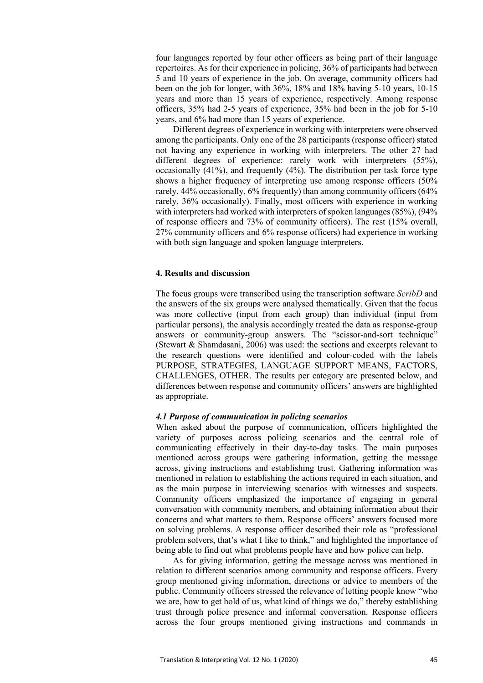four languages reported by four other officers as being part of their language repertoires. As for their experience in policing, 36% of participants had between 5 and 10 years of experience in the job. On average, community officers had been on the job for longer, with 36%, 18% and 18% having 5-10 years, 10-15 years and more than 15 years of experience, respectively. Among response officers, 35% had 2-5 years of experience, 35% had been in the job for 5-10 years, and 6% had more than 15 years of experience.

Different degrees of experience in working with interpreters were observed among the participants. Only one of the 28 participants (response officer) stated not having any experience in working with interpreters. The other 27 had different degrees of experience: rarely work with interpreters (55%), occasionally (41%), and frequently (4%). The distribution per task force type shows a higher frequency of interpreting use among response officers (50% rarely, 44% occasionally, 6% frequently) than among community officers (64% rarely, 36% occasionally). Finally, most officers with experience in working with interpreters had worked with interpreters of spoken languages (85%), (94%) of response officers and 73% of community officers). The rest (15% overall, 27% community officers and 6% response officers) had experience in working with both sign language and spoken language interpreters.

#### **4. Results and discussion**

The focus groups were transcribed using the transcription software *ScribD* and the answers of the six groups were analysed thematically. Given that the focus was more collective (input from each group) than individual (input from particular persons), the analysis accordingly treated the data as response-group answers or community-group answers. The "scissor-and-sort technique" (Stewart & Shamdasani, 2006) was used: the sections and excerpts relevant to the research questions were identified and colour-coded with the labels PURPOSE, STRATEGIES, LANGUAGE SUPPORT MEANS, FACTORS, CHALLENGES, OTHER. The results per category are presented below, and differences between response and community officers' answers are highlighted as appropriate.

## *4.1 Purpose of communication in policing scenarios*

When asked about the purpose of communication, officers highlighted the variety of purposes across policing scenarios and the central role of communicating effectively in their day-to-day tasks. The main purposes mentioned across groups were gathering information, getting the message across, giving instructions and establishing trust. Gathering information was mentioned in relation to establishing the actions required in each situation, and as the main purpose in interviewing scenarios with witnesses and suspects. Community officers emphasized the importance of engaging in general conversation with community members, and obtaining information about their concerns and what matters to them. Response officers' answers focused more on solving problems. A response officer described their role as "professional problem solvers, that's what I like to think," and highlighted the importance of being able to find out what problems people have and how police can help.

As for giving information, getting the message across was mentioned in relation to different scenarios among community and response officers. Every group mentioned giving information, directions or advice to members of the public. Community officers stressed the relevance of letting people know "who we are, how to get hold of us, what kind of things we do," thereby establishing trust through police presence and informal conversation. Response officers across the four groups mentioned giving instructions and commands in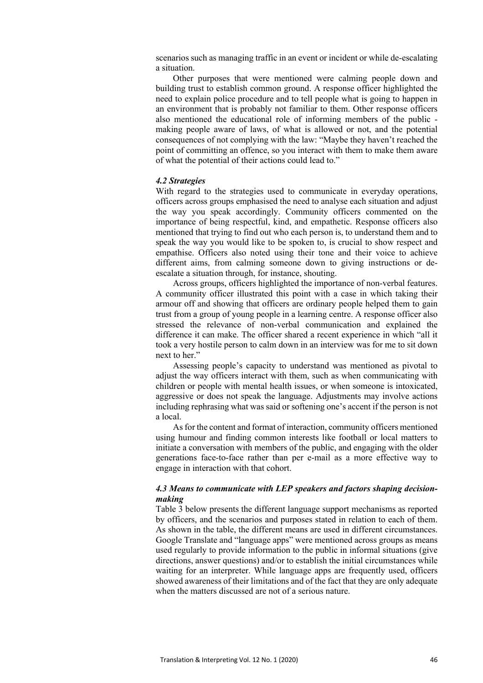scenarios such as managing traffic in an event or incident or while de-escalating a situation.

Other purposes that were mentioned were calming people down and building trust to establish common ground. A response officer highlighted the need to explain police procedure and to tell people what is going to happen in an environment that is probably not familiar to them. Other response officers also mentioned the educational role of informing members of the public making people aware of laws, of what is allowed or not, and the potential consequences of not complying with the law: "Maybe they haven't reached the point of committing an offence, so you interact with them to make them aware of what the potential of their actions could lead to."

## *4.2 Strategies*

With regard to the strategies used to communicate in everyday operations, officers across groups emphasised the need to analyse each situation and adjust the way you speak accordingly. Community officers commented on the importance of being respectful, kind, and empathetic. Response officers also mentioned that trying to find out who each person is, to understand them and to speak the way you would like to be spoken to, is crucial to show respect and empathise. Officers also noted using their tone and their voice to achieve different aims, from calming someone down to giving instructions or deescalate a situation through, for instance, shouting.

Across groups, officers highlighted the importance of non-verbal features. A community officer illustrated this point with a case in which taking their armour off and showing that officers are ordinary people helped them to gain trust from a group of young people in a learning centre. A response officer also stressed the relevance of non-verbal communication and explained the difference it can make. The officer shared a recent experience in which "all it took a very hostile person to calm down in an interview was for me to sit down next to her."

Assessing people's capacity to understand was mentioned as pivotal to adjust the way officers interact with them, such as when communicating with children or people with mental health issues, or when someone is intoxicated, aggressive or does not speak the language. Adjustments may involve actions including rephrasing what was said or softening one's accent if the person is not a local.

As for the content and format of interaction, community officers mentioned using humour and finding common interests like football or local matters to initiate a conversation with members of the public, and engaging with the older generations face-to-face rather than per e-mail as a more effective way to engage in interaction with that cohort.

# *4.3 Means to communicate with LEP speakers and factors shaping decisionmaking*

Table 3 below presents the different language support mechanisms as reported by officers, and the scenarios and purposes stated in relation to each of them. As shown in the table, the different means are used in different circumstances. Google Translate and "language apps" were mentioned across groups as means used regularly to provide information to the public in informal situations (give directions, answer questions) and/or to establish the initial circumstances while waiting for an interpreter. While language apps are frequently used, officers showed awareness of their limitations and of the fact that they are only adequate when the matters discussed are not of a serious nature.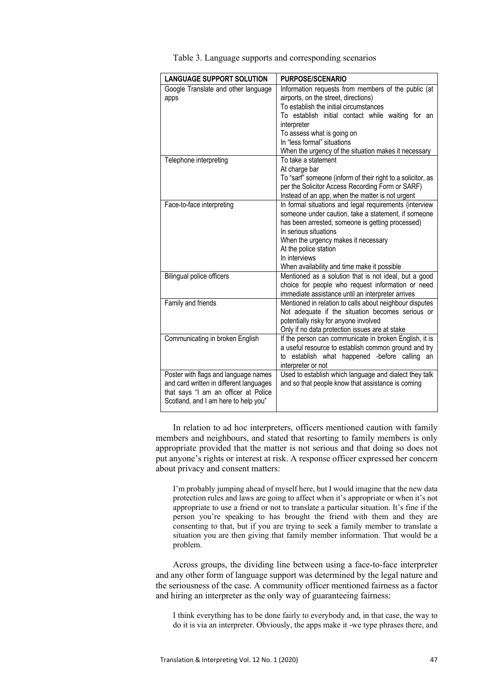|  | Table 3. Language supports and corresponding scenarios |  |
|--|--------------------------------------------------------|--|

| <b>LANGUAGE SUPPORT SOLUTION</b>                                                                                                                                | <b>PURPOSE/SCENARIO</b>                                                                                                                                                                                                                                                                                                        |
|-----------------------------------------------------------------------------------------------------------------------------------------------------------------|--------------------------------------------------------------------------------------------------------------------------------------------------------------------------------------------------------------------------------------------------------------------------------------------------------------------------------|
| Google Translate and other language<br>apps                                                                                                                     | Information requests from members of the public (at<br>airports, on the street, directions)<br>To establish the initial circumstances<br>To establish initial contact while waiting for an<br>interpreter<br>To assess what is going on<br>In "less formal" situations<br>When the urgency of the situation makes it necessary |
| Telephone interpreting                                                                                                                                          | To take a statement<br>At charge bar<br>To "sarf" someone (inform of their right to a solicitor, as<br>per the Solicitor Access Recording Form or SARF)<br>Instead of an app, when the matter is not urgent                                                                                                                    |
| Face-to-face interpreting                                                                                                                                       | In formal situations and legal requirements (interview<br>someone under caution, take a statement, if someone<br>has been arrested, someone is getting processed)<br>In serious situations<br>When the urgency makes it necessary<br>At the police station<br>In interviews<br>When availability and time make it possible     |
| <b>Bilingual police officers</b>                                                                                                                                | Mentioned as a solution that is not ideal, but a good<br>choice for people who request information or need<br>immediate assistance until an interpreter arrives                                                                                                                                                                |
| Family and friends                                                                                                                                              | Mentioned in relation to calls about neighbour disputes<br>Not adequate if the situation becomes serious or<br>potentially risky for anyone involved<br>Only if no data protection issues are at stake                                                                                                                         |
| Communicating in broken English                                                                                                                                 | If the person can communicate in broken English, it is<br>a useful resource to establish common ground and try<br>to establish what happened -before calling an<br>interpreter or not                                                                                                                                          |
| Poster with flags and language names<br>and card written in different languages<br>that says "I am an officer at Police<br>Scotland, and I am here to help you" | Used to establish which language and dialect they talk<br>and so that people know that assistance is coming                                                                                                                                                                                                                    |

In relation to ad hoc interpreters, officers mentioned caution with family members and neighbours, and stated that resorting to family members is only appropriate provided that the matter is not serious and that doing so does not put anyone's rights or interest at risk. A response officer expressed her concern about privacy and consent matters:

I'm probably jumping ahead of myself here, but I would imagine that the new data protection rules and laws are going to affect when it's appropriate or when it's not appropriate to use a friend or not to translate a particular situation. It's fine if the person you're speaking to has brought the friend with them and they are consenting to that, but if you are trying to seek a family member to translate a situation you are then giving that family member information. That would be a problem.

Across groups, the dividing line between using a face-to-face interpreter and any other form of language support was determined by the legal nature and the seriousness of the case. A community officer mentioned fairness as a factor and hiring an interpreter as the only way of guaranteeing fairness:

I think everything has to be done fairly to everybody and, in that case, the way to do it is via an interpreter. Obviously, the apps make it -we type phrases there, and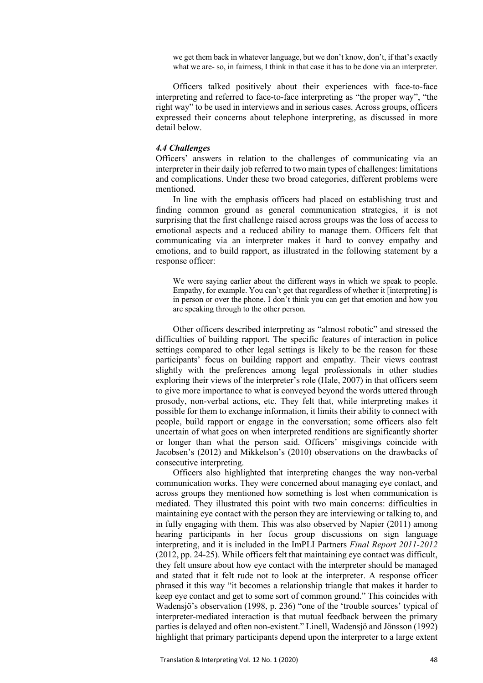we get them back in whatever language, but we don't know, don't, if that's exactly what we are- so, in fairness, I think in that case it has to be done via an interpreter.

Officers talked positively about their experiences with face-to-face interpreting and referred to face-to-face interpreting as "the proper way", "the right way" to be used in interviews and in serious cases. Across groups, officers expressed their concerns about telephone interpreting, as discussed in more detail below.

#### *4.4 Challenges*

Officers' answers in relation to the challenges of communicating via an interpreter in their daily job referred to two main types of challenges: limitations and complications. Under these two broad categories, different problems were mentioned.

In line with the emphasis officers had placed on establishing trust and finding common ground as general communication strategies, it is not surprising that the first challenge raised across groups was the loss of access to emotional aspects and a reduced ability to manage them. Officers felt that communicating via an interpreter makes it hard to convey empathy and emotions, and to build rapport, as illustrated in the following statement by a response officer:

We were saying earlier about the different ways in which we speak to people. Empathy, for example. You can't get that regardless of whether it [interpreting] is in person or over the phone. I don't think you can get that emotion and how you are speaking through to the other person.

Other officers described interpreting as "almost robotic" and stressed the difficulties of building rapport. The specific features of interaction in police settings compared to other legal settings is likely to be the reason for these participants' focus on building rapport and empathy. Their views contrast slightly with the preferences among legal professionals in other studies exploring their views of the interpreter's role (Hale, 2007) in that officers seem to give more importance to what is conveyed beyond the words uttered through prosody, non-verbal actions, etc. They felt that, while interpreting makes it possible for them to exchange information, it limits their ability to connect with people, build rapport or engage in the conversation; some officers also felt uncertain of what goes on when interpreted renditions are significantly shorter or longer than what the person said. Officers' misgivings coincide with Jacobsen's (2012) and Mikkelson's (2010) observations on the drawbacks of consecutive interpreting.

Officers also highlighted that interpreting changes the way non-verbal communication works. They were concerned about managing eye contact, and across groups they mentioned how something is lost when communication is mediated. They illustrated this point with two main concerns: difficulties in maintaining eye contact with the person they are interviewing or talking to, and in fully engaging with them. This was also observed by Napier (2011) among hearing participants in her focus group discussions on sign language interpreting, and it is included in the ImPLI Partners *Final Report 2011-2012* (2012, pp. 24-25). While officers felt that maintaining eye contact was difficult, they felt unsure about how eye contact with the interpreter should be managed and stated that it felt rude not to look at the interpreter. A response officer phrased it this way "it becomes a relationship triangle that makes it harder to keep eye contact and get to some sort of common ground." This coincides with Wadensjö's observation (1998, p. 236) "one of the 'trouble sources' typical of interpreter-mediated interaction is that mutual feedback between the primary parties is delayed and often non-existent." Linell, Wadensjö and Jönsson (1992) highlight that primary participants depend upon the interpreter to a large extent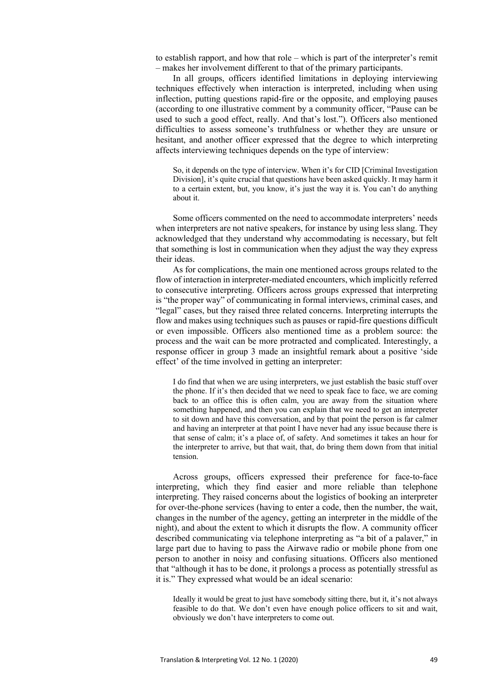to establish rapport, and how that role – which is part of the interpreter's remit – makes her involvement different to that of the primary participants.

In all groups, officers identified limitations in deploying interviewing techniques effectively when interaction is interpreted, including when using inflection, putting questions rapid-fire or the opposite, and employing pauses (according to one illustrative comment by a community officer, "Pause can be used to such a good effect, really. And that's lost."). Officers also mentioned difficulties to assess someone's truthfulness or whether they are unsure or hesitant, and another officer expressed that the degree to which interpreting affects interviewing techniques depends on the type of interview:

So, it depends on the type of interview. When it's for CID [Criminal Investigation Division], it's quite crucial that questions have been asked quickly. It may harm it to a certain extent, but, you know, it's just the way it is. You can't do anything about it.

Some officers commented on the need to accommodate interpreters' needs when interpreters are not native speakers, for instance by using less slang. They acknowledged that they understand why accommodating is necessary, but felt that something is lost in communication when they adjust the way they express their ideas.

As for complications, the main one mentioned across groups related to the flow of interaction in interpreter-mediated encounters, which implicitly referred to consecutive interpreting. Officers across groups expressed that interpreting is "the proper way" of communicating in formal interviews, criminal cases, and "legal" cases, but they raised three related concerns. Interpreting interrupts the flow and makes using techniques such as pauses or rapid-fire questions difficult or even impossible. Officers also mentioned time as a problem source: the process and the wait can be more protracted and complicated. Interestingly, a response officer in group 3 made an insightful remark about a positive 'side effect' of the time involved in getting an interpreter:

I do find that when we are using interpreters, we just establish the basic stuff over the phone. If it's then decided that we need to speak face to face, we are coming back to an office this is often calm, you are away from the situation where something happened, and then you can explain that we need to get an interpreter to sit down and have this conversation, and by that point the person is far calmer and having an interpreter at that point I have never had any issue because there is that sense of calm; it's a place of, of safety. And sometimes it takes an hour for the interpreter to arrive, but that wait, that, do bring them down from that initial tension.

Across groups, officers expressed their preference for face-to-face interpreting, which they find easier and more reliable than telephone interpreting. They raised concerns about the logistics of booking an interpreter for over-the-phone services (having to enter a code, then the number, the wait, changes in the number of the agency, getting an interpreter in the middle of the night), and about the extent to which it disrupts the flow. A community officer described communicating via telephone interpreting as "a bit of a palaver," in large part due to having to pass the Airwave radio or mobile phone from one person to another in noisy and confusing situations. Officers also mentioned that "although it has to be done, it prolongs a process as potentially stressful as it is." They expressed what would be an ideal scenario:

Ideally it would be great to just have somebody sitting there, but it, it's not always feasible to do that. We don't even have enough police officers to sit and wait, obviously we don't have interpreters to come out.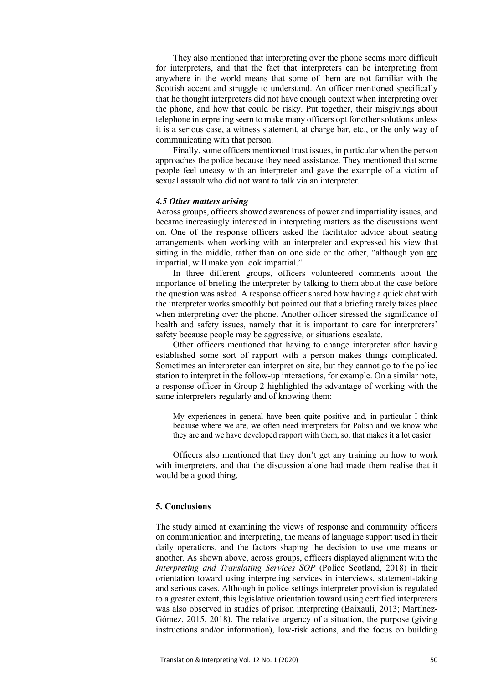They also mentioned that interpreting over the phone seems more difficult for interpreters, and that the fact that interpreters can be interpreting from anywhere in the world means that some of them are not familiar with the Scottish accent and struggle to understand. An officer mentioned specifically that he thought interpreters did not have enough context when interpreting over the phone, and how that could be risky. Put together, their misgivings about telephone interpreting seem to make many officers opt for other solutions unless it is a serious case, a witness statement, at charge bar, etc., or the only way of communicating with that person.

Finally, some officers mentioned trust issues, in particular when the person approaches the police because they need assistance. They mentioned that some people feel uneasy with an interpreter and gave the example of a victim of sexual assault who did not want to talk via an interpreter.

#### *4.5 Other matters arising*

Across groups, officers showed awareness of power and impartiality issues, and became increasingly interested in interpreting matters as the discussions went on. One of the response officers asked the facilitator advice about seating arrangements when working with an interpreter and expressed his view that sitting in the middle, rather than on one side or the other, "although you are impartial, will make you look impartial."

In three different groups, officers volunteered comments about the importance of briefing the interpreter by talking to them about the case before the question was asked. A response officer shared how having a quick chat with the interpreter works smoothly but pointed out that a briefing rarely takes place when interpreting over the phone. Another officer stressed the significance of health and safety issues, namely that it is important to care for interpreters' safety because people may be aggressive, or situations escalate.

Other officers mentioned that having to change interpreter after having established some sort of rapport with a person makes things complicated. Sometimes an interpreter can interpret on site, but they cannot go to the police station to interpret in the follow-up interactions, for example. On a similar note, a response officer in Group 2 highlighted the advantage of working with the same interpreters regularly and of knowing them:

My experiences in general have been quite positive and, in particular I think because where we are, we often need interpreters for Polish and we know who they are and we have developed rapport with them, so, that makes it a lot easier.

Officers also mentioned that they don't get any training on how to work with interpreters, and that the discussion alone had made them realise that it would be a good thing.

## **5. Conclusions**

The study aimed at examining the views of response and community officers on communication and interpreting, the means of language support used in their daily operations, and the factors shaping the decision to use one means or another. As shown above, across groups, officers displayed alignment with the *Interpreting and Translating Services SOP* (Police Scotland, 2018) in their orientation toward using interpreting services in interviews, statement-taking and serious cases. Although in police settings interpreter provision is regulated to a greater extent, this legislative orientation toward using certified interpreters was also observed in studies of prison interpreting (Baixauli, 2013; Martínez-Gómez, 2015, 2018). The relative urgency of a situation, the purpose (giving instructions and/or information), low-risk actions, and the focus on building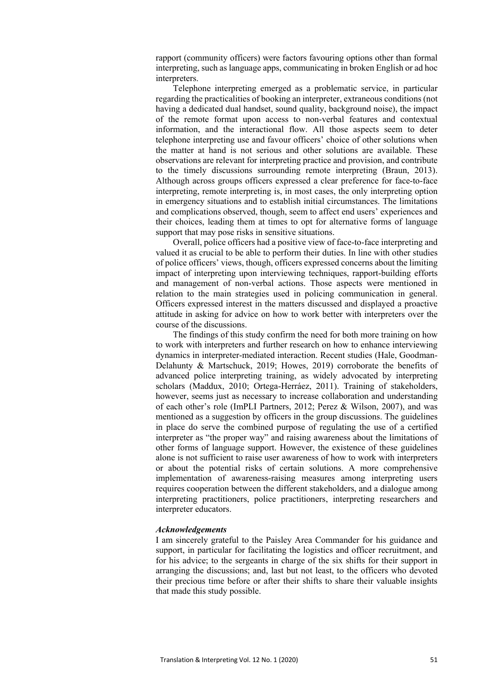rapport (community officers) were factors favouring options other than formal interpreting, such as language apps, communicating in broken English or ad hoc interpreters.

Telephone interpreting emerged as a problematic service, in particular regarding the practicalities of booking an interpreter, extraneous conditions (not having a dedicated dual handset, sound quality, background noise), the impact of the remote format upon access to non-verbal features and contextual information, and the interactional flow. All those aspects seem to deter telephone interpreting use and favour officers' choice of other solutions when the matter at hand is not serious and other solutions are available. These observations are relevant for interpreting practice and provision, and contribute to the timely discussions surrounding remote interpreting (Braun, 2013). Although across groups officers expressed a clear preference for face-to-face interpreting, remote interpreting is, in most cases, the only interpreting option in emergency situations and to establish initial circumstances. The limitations and complications observed, though, seem to affect end users' experiences and their choices, leading them at times to opt for alternative forms of language support that may pose risks in sensitive situations.

Overall, police officers had a positive view of face-to-face interpreting and valued it as crucial to be able to perform their duties. In line with other studies of police officers' views, though, officers expressed concerns about the limiting impact of interpreting upon interviewing techniques, rapport-building efforts and management of non-verbal actions. Those aspects were mentioned in relation to the main strategies used in policing communication in general. Officers expressed interest in the matters discussed and displayed a proactive attitude in asking for advice on how to work better with interpreters over the course of the discussions.

The findings of this study confirm the need for both more training on how to work with interpreters and further research on how to enhance interviewing dynamics in interpreter-mediated interaction. Recent studies (Hale, Goodman-Delahunty & Martschuck, 2019; Howes, 2019) corroborate the benefits of advanced police interpreting training, as widely advocated by interpreting scholars (Maddux, 2010; Ortega-Herráez, 2011). Training of stakeholders, however, seems just as necessary to increase collaboration and understanding of each other's role (ImPLI Partners, 2012; Perez & Wilson, 2007), and was mentioned as a suggestion by officers in the group discussions. The guidelines in place do serve the combined purpose of regulating the use of a certified interpreter as "the proper way" and raising awareness about the limitations of other forms of language support. However, the existence of these guidelines alone is not sufficient to raise user awareness of how to work with interpreters or about the potential risks of certain solutions. A more comprehensive implementation of awareness-raising measures among interpreting users requires cooperation between the different stakeholders, and a dialogue among interpreting practitioners, police practitioners, interpreting researchers and interpreter educators.

#### *Acknowledgements*

I am sincerely grateful to the Paisley Area Commander for his guidance and support, in particular for facilitating the logistics and officer recruitment, and for his advice; to the sergeants in charge of the six shifts for their support in arranging the discussions; and, last but not least, to the officers who devoted their precious time before or after their shifts to share their valuable insights that made this study possible.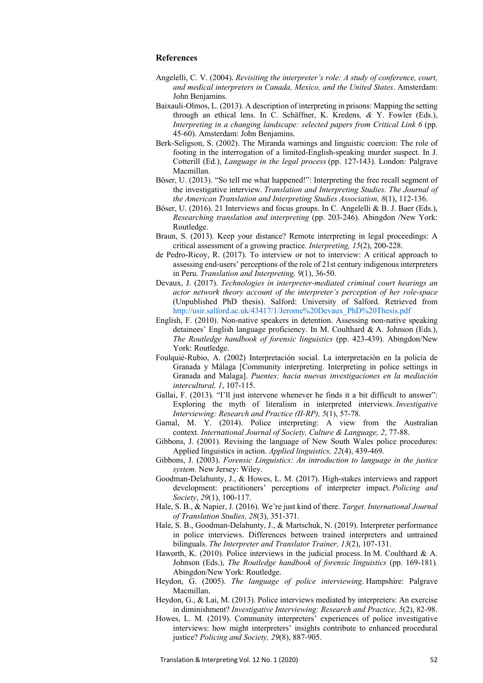# **References**

- Angelelli, C. V. (2004). *Revisiting the interpreter's role: A study of conference, court, and medical interpreters in Canada, Mexico, and the United States*. Amsterdam: John Benjamins.
- Baixauli-Olmos, L. (2013). A description of interpreting in prisons: Mapping the setting through an ethical lens. In C. Schäffner, K. Kredens*, &* Y. Fowler (Eds.), *Interpreting in a changing landscape: selected papers from Critical Link 6 (pp.* 45-60). Amsterdam: John Benjamins.
- Berk-Seligson, S. (2002). The Miranda warnings and linguistic coercion: The role of footing in the interrogation of a limited-English-speaking murder suspect. In J. Cotterill (Ed.), *Language in the legal process* (pp. 127-143). London: Palgrave Macmillan.
- Böser, U. (2013). "So tell me what happened!": Interpreting the free recall segment of the investigative interview. *Translation and Interpreting Studies. The Journal of the American Translation and Interpreting Studies Association, 8*(1), 112-136.
- Böser, U. (2016). 21 Interviews and focus groups. In C. Angelelli & B. J. Baer (Eds.), *Researching translation and interpreting* (pp. 203-246). Abingdon /New York: Routledge.
- Braun, S. (2013). Keep your distance? Remote interpreting in legal proceedings: A critical assessment of a growing practice. *Interpreting, 15*(2), 200-228.
- de Pedro-Ricoy, R. (2017). To interview or not to interview: A critical approach to assessing end-users' perceptions of the role of 21st century indigenous interpreters in Peru. *Translation and Interpreting, 9*(1), 36-50.
- Devaux, J. (2017). *Technologies in interpreter-mediated criminal court hearings an actor network theory account of the interpreter's perception of her role-space* (Unpublished PhD thesis). Salford: University of Salford. Retrieved from http://usir.salford.ac.uk/43417/1/Jerome%20Devaux\_PhD%20Thesis.pdf
- English, F. (2010). Non-native speakers in detention. Assessing non-native speaking detainees' English language proficiency. In M. Coulthard & A. Johnson (Eds.), *The Routledge handbook of forensic linguistics* (pp. 423-439). Abingdon/New York: Routledge.
- Foulquié-Rubio, A. (2002) Interpretación social. La interpretación en la policía de Granada y Málaga [Community interpreting. Interpreting in police settings in Granada and Malaga]. *Puentes: hacia nuevas investigaciones en la mediación intercultural, 1*, 107-115.
- Gallai, F. (2013). "I'll just intervene whenever he finds it a bit difficult to answer": Exploring the myth of literalism in interpreted interviews. *Investigative Interviewing: Research and Practice (II-RP), 5*(1), 57-78.
- Gamal, M. Y. (2014). Police interpreting: A view from the Australian context. *International Journal of Society, Culture & Language, 2*, 77-88.
- Gibbons, J. (2001). Revising the language of New South Wales police procedures: Applied linguistics in action. *Applied linguistics, 22*(4), 439-469.
- Gibbons, J. (2003). *Forensic Linguistics: An introduction to language in the justice system.* New Jersey: Wiley.
- Goodman-Delahunty, J., & Howes, L. M. (2017). High-stakes interviews and rapport development: practitioners' perceptions of interpreter impact. *Policing and Society*, *29*(1), 100-117.
- Hale, S. B., & Napier, J. (2016). We're just kind of there. *Target. International Journal of Translation Studies, 28*(3), 351-371.
- Hale, S. B., Goodman-Delahunty, J., & Martschuk, N. (2019). Interpreter performance in police interviews. Differences between trained interpreters and untrained bilinguals. *The Interpreter and Translator Trainer, 13*(2), 107-131.
- Haworth, K. (2010). Police interviews in the judicial process. In M. Coulthard & A. Johnson (Eds.), *The Routledge handbook of forensic linguistics* (pp. 169-181)*.* Abingdon/New York: Routledge.
- Heydon, G. (2005). *The language of police interviewing*. Hampshire: Palgrave Macmillan.
- Heydon, G., & Lai, M. (2013). Police interviews mediated by interpreters: An exercise in diminishment? *Investigative Interviewing: Research and Practice, 5*(2), 82-98.
- Howes, L. M. (2019). Community interpreters' experiences of police investigative interviews: how might interpreters' insights contribute to enhanced procedural justice? *Policing and Society, 29*(8), 887-905.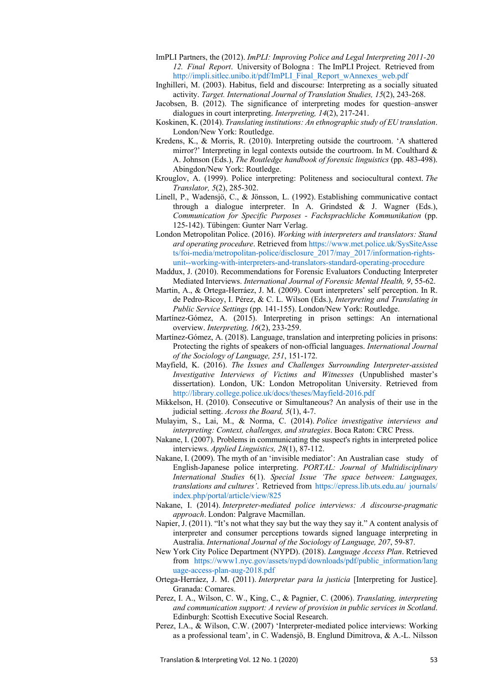- ImPLI Partners, the (2012). *ImPLI: Improving Police and Legal Interpreting 2011-20 12. Final Report*. University of Bologna : The ImPLI Project. Retrieved from http://impli.sitlec.unibo.it/pdf/ImPLI\_Final\_Report\_wAnnexes\_web.pdf
- Inghilleri, M. (2003). Habitus, field and discourse: Interpreting as a socially situated activity. *Target. International Journal of Translation Studies, 15*(2), 243-268.
- Jacobsen, B. (2012). The significance of interpreting modes for question–answer dialogues in court interpreting. *Interpreting, 14*(2), 217-241.
- Koskinen, K. (2014). *Translating institutions: An ethnographic study of EU translation*. London/New York: Routledge.
- Kredens, K., & Morris, R. (2010). Interpreting outside the courtroom. 'A shattered mirror?' Interpreting in legal contexts outside the courtroom. In M. Coulthard & A. Johnson (Eds.), *The Routledge handbook of forensic linguistics* (pp. 483-498). Abingdon/New York: Routledge.
- Krouglov, A. (1999). Police interpreting: Politeness and sociocultural context. *The Translator, 5*(2), 285-302.
- Linell, P., Wadensjö, C., & Jönsson, L. (1992). Establishing communicative contact through a dialogue interpreter. In A. Grindsted & J. Wagner (Eds.), *Communication for Specific Purposes - Fachsprachliche Kommunikation* (pp. 125-142). Tübingen: Gunter Narr Verlag.
- London Metropolitan Police. (2016). *Working with interpreters and translators: Stand ard operating procedure*. Retrieved from https://www.met.police.uk/SysSiteAsse ts/foi-media/metropolitan-police/disclosure\_2017/may\_2017/information-rightsunit--working-with-interpreters-and-translators-standard-operating-procedure
- Maddux, J. (2010). Recommendations for Forensic Evaluators Conducting Interpreter Mediated Interviews. *International Journal of Forensic Mental Health, 9*, 55-62.
- Martin, A., & Ortega-Herráez, J. M. (2009). Court interpreters' self perception. In R. de Pedro-Ricoy, I. Pérez, & C. L. Wilson (Eds.), *Interpreting and Translating in Public Service Settings* (pp. 141-155). London/New York: Routledge.
- Martínez-Gómez, A. (2015). Interpreting in prison settings: An international overview. *Interpreting, 16*(2), 233-259.
- Martínez-Gómez, A. (2018). Language, translation and interpreting policies in prisons: Protecting the rights of speakers of non-official languages. *International Journal of the Sociology of Language, 251*, 151-172.
- Mayfield, K. (2016). *The Issues and Challenges Surrounding Interpreter-assisted Investigative Interviews of Victims and Witnesses* (Unpublished master's dissertation). London, UK: London Metropolitan University. Retrieved from http://library.college.police.uk/docs/theses/Mayfield-2016.pdf
- Mikkelson, H. (2010). Consecutive or Simultaneous? An analysis of their use in the judicial setting. *Across the Board, 5*(1), 4-7.
- Mulayim, S., Lai, M., & Norma, C. (2014). *Police investigative interviews and interpreting: Context, challenges, and strategies*. Boca Raton: CRC Press.
- Nakane, I. (2007). Problems in communicating the suspect's rights in interpreted police interviews. *Applied Linguistics, 28*(1), 87-112.
- Nakane, I. (2009). The myth of an 'invisible mediator': An Australian case study of English-Japanese police interpreting. *PORTAL: Journal of Multidisciplinary International Studies* 6(1). *Special Issue 'The space between: Languages, translations and cultures'*. Retrieved from https://epress.lib.uts.edu.au/ journals/ index.php/portal/article/view/825
- Nakane, I. (2014). *Interpreter-mediated police interviews: A discourse-pragmatic approach*. London: Palgrave Macmillan.
- Napier, J. (2011). "It's not what they say but the way they say it." A content analysis of interpreter and consumer perceptions towards signed language interpreting in Australia. *International Journal of the Sociology of Language, 207*, 59-87.
- New York City Police Department (NYPD). (2018). *Language Access Plan*. Retrieved from https://www1.nyc.gov/assets/nypd/downloads/pdf/public\_information/lang uage-access-plan-aug-2018.pdf
- Ortega-Herráez, J. M. (2011). *Interpretar para la justicia* [Interpreting for Justice]. Granada: Comares.
- Perez, I. A., Wilson, C. W., King, C., & Pagnier, C. (2006). *Translating, interpreting and communication support: A review of provision in public services in Scotland*. Edinburgh: Scottish Executive Social Research.
- Perez, I.A., & Wilson, C.W. (2007) 'Interpreter-mediated police interviews: Working as a professional team', in C. Wadensjö, B. Englund Dimitrova, & A.-L. Nilsson